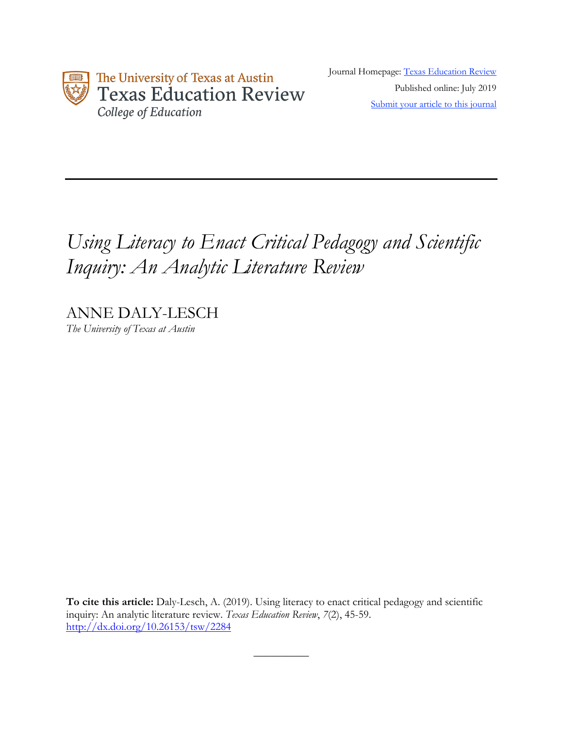

Journal Homepage: Texas Education Review Published online: July 2019 Submit your article to this journal

# *Using Literacy to Enact Critical Pedagogy and Scientific Inquiry: An Analytic Literature Review*

ANNE DALY-LESCH *The University of Texas at Austin*

**To cite this article:** Daly-Lesch, A. (2019). Using literacy to enact critical pedagogy and scientific inquiry: An analytic literature review. *Texas Education Review*, *7*(2), 45-59. http://dx.doi.org/10.26153/tsw/2284

 $\overline{\phantom{a}}$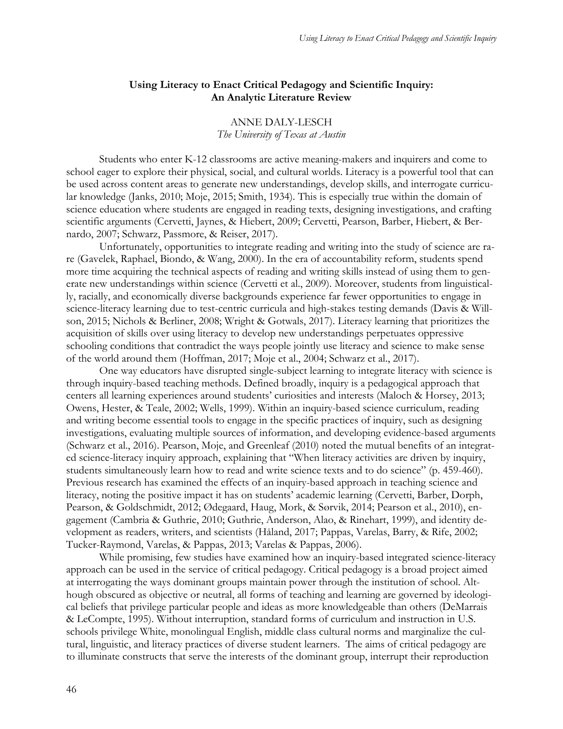## **Using Literacy to Enact Critical Pedagogy and Scientific Inquiry: An Analytic Literature Review**

## ANNE DALY-LESCH *The University of Texas at Austin*

Students who enter K-12 classrooms are active meaning-makers and inquirers and come to school eager to explore their physical, social, and cultural worlds. Literacy is a powerful tool that can be used across content areas to generate new understandings, develop skills, and interrogate curricular knowledge (Janks, 2010; Moje, 2015; Smith, 1934). This is especially true within the domain of science education where students are engaged in reading texts, designing investigations, and crafting scientific arguments (Cervetti, Jaynes, & Hiebert, 2009; Cervetti, Pearson, Barber, Hiebert, & Bernardo, 2007; Schwarz, Passmore, & Reiser, 2017).

Unfortunately, opportunities to integrate reading and writing into the study of science are rare (Gavelek, Raphael, Biondo, & Wang, 2000). In the era of accountability reform, students spend more time acquiring the technical aspects of reading and writing skills instead of using them to generate new understandings within science (Cervetti et al., 2009). Moreover, students from linguistically, racially, and economically diverse backgrounds experience far fewer opportunities to engage in science-literacy learning due to test-centric curricula and high-stakes testing demands (Davis & Willson, 2015; Nichols & Berliner, 2008; Wright & Gotwals, 2017). Literacy learning that prioritizes the acquisition of skills over using literacy to develop new understandings perpetuates oppressive schooling conditions that contradict the ways people jointly use literacy and science to make sense of the world around them (Hoffman, 2017; Moje et al., 2004; Schwarz et al., 2017).

One way educators have disrupted single-subject learning to integrate literacy with science is through inquiry-based teaching methods. Defined broadly, inquiry is a pedagogical approach that centers all learning experiences around students' curiosities and interests (Maloch & Horsey, 2013; Owens, Hester, & Teale, 2002; Wells, 1999). Within an inquiry-based science curriculum, reading and writing become essential tools to engage in the specific practices of inquiry, such as designing investigations, evaluating multiple sources of information, and developing evidence-based arguments (Schwarz et al., 2016). Pearson, Moje, and Greenleaf (2010) noted the mutual benefits of an integrated science-literacy inquiry approach, explaining that "When literacy activities are driven by inquiry, students simultaneously learn how to read and write science texts and to do science" (p. 459-460). Previous research has examined the effects of an inquiry-based approach in teaching science and literacy, noting the positive impact it has on students' academic learning (Cervetti, Barber, Dorph, Pearson, & Goldschmidt, 2012; Ødegaard, Haug, Mork, & Sørvik, 2014; Pearson et al., 2010), engagement (Cambria & Guthrie, 2010; Guthrie, Anderson, Alao, & Rinehart, 1999), and identity development as readers, writers, and scientists (Håland, 2017; Pappas, Varelas, Barry, & Rife, 2002; Tucker-Raymond, Varelas, & Pappas, 2013; Varelas & Pappas, 2006).

While promising, few studies have examined how an inquiry-based integrated science-literacy approach can be used in the service of critical pedagogy. Critical pedagogy is a broad project aimed at interrogating the ways dominant groups maintain power through the institution of school. Although obscured as objective or neutral, all forms of teaching and learning are governed by ideological beliefs that privilege particular people and ideas as more knowledgeable than others (DeMarrais & LeCompte, 1995). Without interruption, standard forms of curriculum and instruction in U.S. schools privilege White, monolingual English, middle class cultural norms and marginalize the cultural, linguistic, and literacy practices of diverse student learners. The aims of critical pedagogy are to illuminate constructs that serve the interests of the dominant group, interrupt their reproduction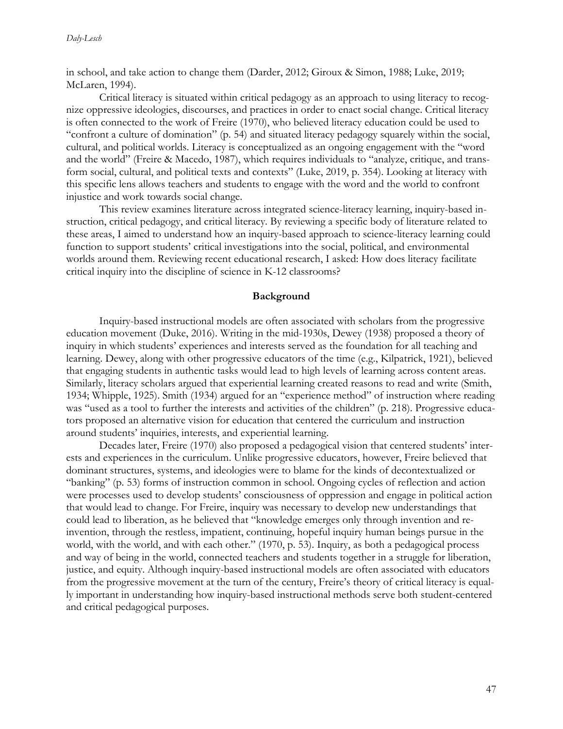in school, and take action to change them (Darder, 2012; Giroux & Simon, 1988; Luke, 2019; McLaren, 1994).

Critical literacy is situated within critical pedagogy as an approach to using literacy to recognize oppressive ideologies, discourses, and practices in order to enact social change. Critical literacy is often connected to the work of Freire (1970), who believed literacy education could be used to "confront a culture of domination" (p. 54) and situated literacy pedagogy squarely within the social, cultural, and political worlds. Literacy is conceptualized as an ongoing engagement with the "word and the world" (Freire & Macedo, 1987), which requires individuals to "analyze, critique, and transform social, cultural, and political texts and contexts" (Luke, 2019, p. 354). Looking at literacy with this specific lens allows teachers and students to engage with the word and the world to confront injustice and work towards social change.

This review examines literature across integrated science-literacy learning, inquiry-based instruction, critical pedagogy, and critical literacy. By reviewing a specific body of literature related to these areas, I aimed to understand how an inquiry-based approach to science-literacy learning could function to support students' critical investigations into the social, political, and environmental worlds around them. Reviewing recent educational research, I asked: How does literacy facilitate critical inquiry into the discipline of science in K-12 classrooms?

### **Background**

Inquiry-based instructional models are often associated with scholars from the progressive education movement (Duke, 2016). Writing in the mid-1930s, Dewey (1938) proposed a theory of inquiry in which students' experiences and interests served as the foundation for all teaching and learning. Dewey, along with other progressive educators of the time (e.g., Kilpatrick, 1921), believed that engaging students in authentic tasks would lead to high levels of learning across content areas. Similarly, literacy scholars argued that experiential learning created reasons to read and write (Smith, 1934; Whipple, 1925). Smith (1934) argued for an "experience method" of instruction where reading was "used as a tool to further the interests and activities of the children" (p. 218). Progressive educators proposed an alternative vision for education that centered the curriculum and instruction around students' inquiries, interests, and experiential learning.

Decades later, Freire (1970) also proposed a pedagogical vision that centered students' interests and experiences in the curriculum. Unlike progressive educators, however, Freire believed that dominant structures, systems, and ideologies were to blame for the kinds of decontextualized or "banking" (p. 53) forms of instruction common in school. Ongoing cycles of reflection and action were processes used to develop students' consciousness of oppression and engage in political action that would lead to change. For Freire, inquiry was necessary to develop new understandings that could lead to liberation, as he believed that "knowledge emerges only through invention and reinvention, through the restless, impatient, continuing, hopeful inquiry human beings pursue in the world, with the world, and with each other." (1970, p. 53). Inquiry, as both a pedagogical process and way of being in the world, connected teachers and students together in a struggle for liberation, justice, and equity. Although inquiry-based instructional models are often associated with educators from the progressive movement at the turn of the century, Freire's theory of critical literacy is equally important in understanding how inquiry-based instructional methods serve both student-centered and critical pedagogical purposes.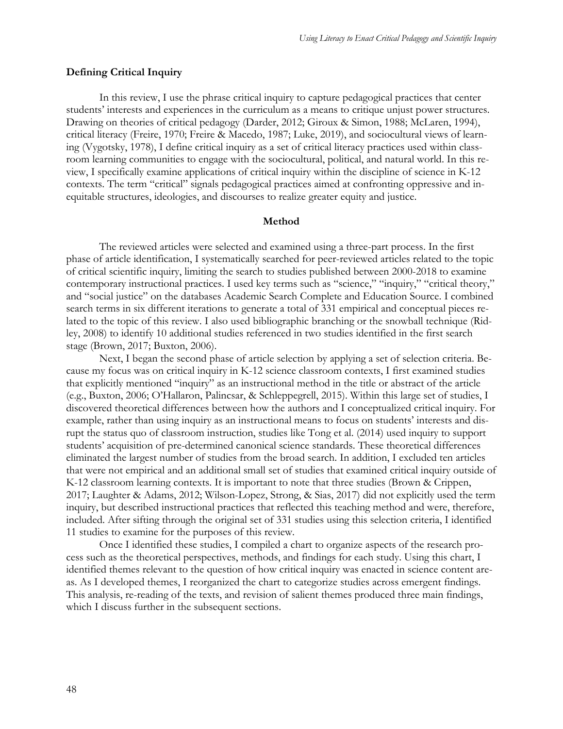### **Defining Critical Inquiry**

In this review, I use the phrase critical inquiry to capture pedagogical practices that center students' interests and experiences in the curriculum as a means to critique unjust power structures. Drawing on theories of critical pedagogy (Darder, 2012; Giroux & Simon, 1988; McLaren, 1994), critical literacy (Freire, 1970; Freire & Macedo, 1987; Luke, 2019), and sociocultural views of learning (Vygotsky, 1978), I define critical inquiry as a set of critical literacy practices used within classroom learning communities to engage with the sociocultural, political, and natural world. In this review, I specifically examine applications of critical inquiry within the discipline of science in K-12 contexts. The term "critical" signals pedagogical practices aimed at confronting oppressive and inequitable structures, ideologies, and discourses to realize greater equity and justice.

#### **Method**

The reviewed articles were selected and examined using a three-part process. In the first phase of article identification, I systematically searched for peer-reviewed articles related to the topic of critical scientific inquiry, limiting the search to studies published between 2000-2018 to examine contemporary instructional practices. I used key terms such as "science," "inquiry," "critical theory," and "social justice" on the databases Academic Search Complete and Education Source. I combined search terms in six different iterations to generate a total of 331 empirical and conceptual pieces related to the topic of this review. I also used bibliographic branching or the snowball technique (Ridley, 2008) to identify 10 additional studies referenced in two studies identified in the first search stage (Brown, 2017; Buxton, 2006).

Next, I began the second phase of article selection by applying a set of selection criteria. Because my focus was on critical inquiry in K-12 science classroom contexts, I first examined studies that explicitly mentioned "inquiry" as an instructional method in the title or abstract of the article (e.g., Buxton, 2006; O'Hallaron, Palincsar, & Schleppegrell, 2015). Within this large set of studies, I discovered theoretical differences between how the authors and I conceptualized critical inquiry. For example, rather than using inquiry as an instructional means to focus on students' interests and disrupt the status quo of classroom instruction, studies like Tong et al. (2014) used inquiry to support students' acquisition of pre-determined canonical science standards. These theoretical differences eliminated the largest number of studies from the broad search. In addition, I excluded ten articles that were not empirical and an additional small set of studies that examined critical inquiry outside of K-12 classroom learning contexts. It is important to note that three studies (Brown & Crippen, 2017; Laughter & Adams, 2012; Wilson-Lopez, Strong, & Sias, 2017) did not explicitly used the term inquiry, but described instructional practices that reflected this teaching method and were, therefore, included. After sifting through the original set of 331 studies using this selection criteria, I identified 11 studies to examine for the purposes of this review.

Once I identified these studies, I compiled a chart to organize aspects of the research process such as the theoretical perspectives, methods, and findings for each study. Using this chart, I identified themes relevant to the question of how critical inquiry was enacted in science content areas. As I developed themes, I reorganized the chart to categorize studies across emergent findings. This analysis, re-reading of the texts, and revision of salient themes produced three main findings, which I discuss further in the subsequent sections.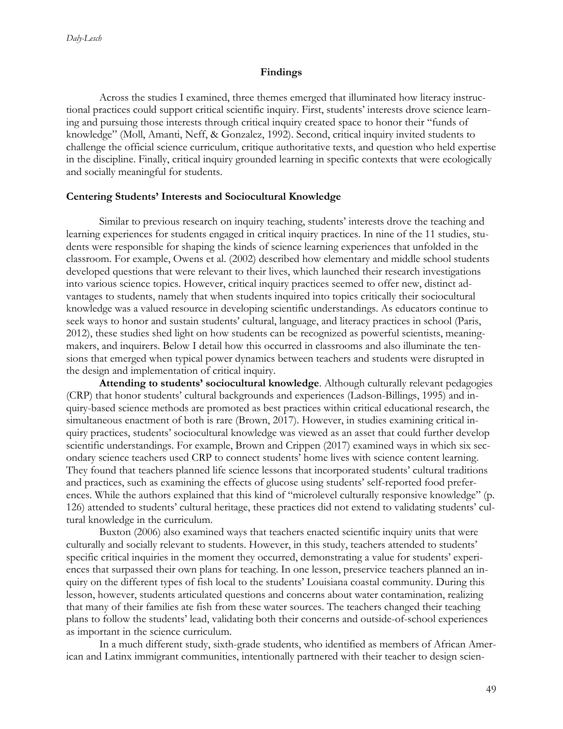### **Findings**

Across the studies I examined, three themes emerged that illuminated how literacy instructional practices could support critical scientific inquiry. First, students' interests drove science learning and pursuing those interests through critical inquiry created space to honor their "funds of knowledge" (Moll, Amanti, Neff, & Gonzalez, 1992). Second, critical inquiry invited students to challenge the official science curriculum, critique authoritative texts, and question who held expertise in the discipline. Finally, critical inquiry grounded learning in specific contexts that were ecologically and socially meaningful for students.

#### **Centering Students' Interests and Sociocultural Knowledge**

Similar to previous research on inquiry teaching, students' interests drove the teaching and learning experiences for students engaged in critical inquiry practices. In nine of the 11 studies, students were responsible for shaping the kinds of science learning experiences that unfolded in the classroom. For example, Owens et al. (2002) described how elementary and middle school students developed questions that were relevant to their lives, which launched their research investigations into various science topics. However, critical inquiry practices seemed to offer new, distinct advantages to students, namely that when students inquired into topics critically their sociocultural knowledge was a valued resource in developing scientific understandings. As educators continue to seek ways to honor and sustain students' cultural, language, and literacy practices in school (Paris, 2012), these studies shed light on how students can be recognized as powerful scientists, meaningmakers, and inquirers. Below I detail how this occurred in classrooms and also illuminate the tensions that emerged when typical power dynamics between teachers and students were disrupted in the design and implementation of critical inquiry.

**Attending to students' sociocultural knowledge**. Although culturally relevant pedagogies (CRP) that honor students' cultural backgrounds and experiences (Ladson-Billings, 1995) and inquiry-based science methods are promoted as best practices within critical educational research, the simultaneous enactment of both is rare (Brown, 2017). However, in studies examining critical inquiry practices, students' sociocultural knowledge was viewed as an asset that could further develop scientific understandings. For example, Brown and Crippen (2017) examined ways in which six secondary science teachers used CRP to connect students' home lives with science content learning. They found that teachers planned life science lessons that incorporated students' cultural traditions and practices, such as examining the effects of glucose using students' self-reported food preferences. While the authors explained that this kind of "microlevel culturally responsive knowledge" (p. 126) attended to students' cultural heritage, these practices did not extend to validating students' cultural knowledge in the curriculum.

Buxton (2006) also examined ways that teachers enacted scientific inquiry units that were culturally and socially relevant to students. However, in this study, teachers attended to students' specific critical inquiries in the moment they occurred, demonstrating a value for students' experiences that surpassed their own plans for teaching. In one lesson, preservice teachers planned an inquiry on the different types of fish local to the students' Louisiana coastal community. During this lesson, however, students articulated questions and concerns about water contamination, realizing that many of their families ate fish from these water sources. The teachers changed their teaching plans to follow the students' lead, validating both their concerns and outside-of-school experiences as important in the science curriculum.

In a much different study, sixth-grade students, who identified as members of African American and Latinx immigrant communities, intentionally partnered with their teacher to design scien-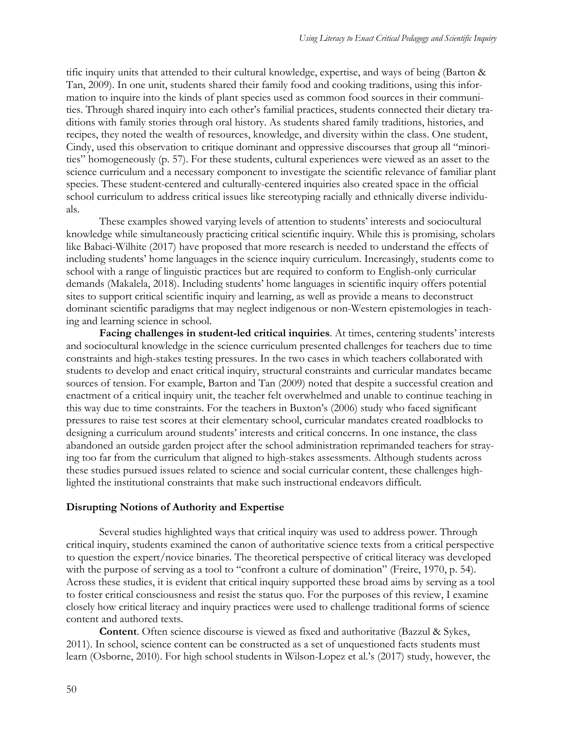tific inquiry units that attended to their cultural knowledge, expertise, and ways of being (Barton & Tan, 2009). In one unit, students shared their family food and cooking traditions, using this information to inquire into the kinds of plant species used as common food sources in their communities. Through shared inquiry into each other's familial practices, students connected their dietary traditions with family stories through oral history. As students shared family traditions, histories, and recipes, they noted the wealth of resources, knowledge, and diversity within the class. One student, Cindy, used this observation to critique dominant and oppressive discourses that group all "minorities" homogeneously (p. 57). For these students, cultural experiences were viewed as an asset to the science curriculum and a necessary component to investigate the scientific relevance of familiar plant species. These student-centered and culturally-centered inquiries also created space in the official school curriculum to address critical issues like stereotyping racially and ethnically diverse individuals.

These examples showed varying levels of attention to students' interests and sociocultural knowledge while simultaneously practicing critical scientific inquiry. While this is promising, scholars like Babaci-Wilhite (2017) have proposed that more research is needed to understand the effects of including students' home languages in the science inquiry curriculum. Increasingly, students come to school with a range of linguistic practices but are required to conform to English-only curricular demands (Makalela, 2018). Including students' home languages in scientific inquiry offers potential sites to support critical scientific inquiry and learning, as well as provide a means to deconstruct dominant scientific paradigms that may neglect indigenous or non-Western epistemologies in teaching and learning science in school.

**Facing challenges in student-led critical inquiries**. At times, centering students' interests and sociocultural knowledge in the science curriculum presented challenges for teachers due to time constraints and high-stakes testing pressures. In the two cases in which teachers collaborated with students to develop and enact critical inquiry, structural constraints and curricular mandates became sources of tension. For example, Barton and Tan (2009) noted that despite a successful creation and enactment of a critical inquiry unit, the teacher felt overwhelmed and unable to continue teaching in this way due to time constraints. For the teachers in Buxton's (2006) study who faced significant pressures to raise test scores at their elementary school, curricular mandates created roadblocks to designing a curriculum around students' interests and critical concerns. In one instance, the class abandoned an outside garden project after the school administration reprimanded teachers for straying too far from the curriculum that aligned to high-stakes assessments. Although students across these studies pursued issues related to science and social curricular content, these challenges highlighted the institutional constraints that make such instructional endeavors difficult.

## **Disrupting Notions of Authority and Expertise**

Several studies highlighted ways that critical inquiry was used to address power. Through critical inquiry, students examined the canon of authoritative science texts from a critical perspective to question the expert/novice binaries. The theoretical perspective of critical literacy was developed with the purpose of serving as a tool to "confront a culture of domination" (Freire, 1970, p. 54). Across these studies, it is evident that critical inquiry supported these broad aims by serving as a tool to foster critical consciousness and resist the status quo. For the purposes of this review, I examine closely how critical literacy and inquiry practices were used to challenge traditional forms of science content and authored texts.

**Content**. Often science discourse is viewed as fixed and authoritative (Bazzul & Sykes, 2011). In school, science content can be constructed as a set of unquestioned facts students must learn (Osborne, 2010). For high school students in Wilson-Lopez et al.'s (2017) study, however, the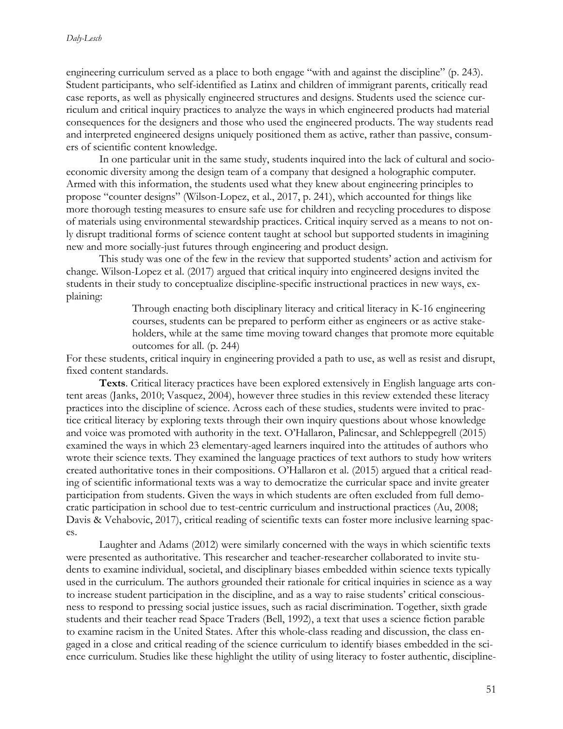engineering curriculum served as a place to both engage "with and against the discipline" (p. 243). Student participants, who self-identified as Latinx and children of immigrant parents, critically read case reports, as well as physically engineered structures and designs. Students used the science curriculum and critical inquiry practices to analyze the ways in which engineered products had material consequences for the designers and those who used the engineered products. The way students read and interpreted engineered designs uniquely positioned them as active, rather than passive, consumers of scientific content knowledge.

In one particular unit in the same study, students inquired into the lack of cultural and socioeconomic diversity among the design team of a company that designed a holographic computer. Armed with this information, the students used what they knew about engineering principles to propose "counter designs" (Wilson-Lopez, et al., 2017, p. 241), which accounted for things like more thorough testing measures to ensure safe use for children and recycling procedures to dispose of materials using environmental stewardship practices. Critical inquiry served as a means to not only disrupt traditional forms of science content taught at school but supported students in imagining new and more socially-just futures through engineering and product design.

This study was one of the few in the review that supported students' action and activism for change. Wilson-Lopez et al. (2017) argued that critical inquiry into engineered designs invited the students in their study to conceptualize discipline-specific instructional practices in new ways, explaining:

> Through enacting both disciplinary literacy and critical literacy in K-16 engineering courses, students can be prepared to perform either as engineers or as active stakeholders, while at the same time moving toward changes that promote more equitable outcomes for all. (p. 244)

For these students, critical inquiry in engineering provided a path to use, as well as resist and disrupt, fixed content standards.

**Texts**. Critical literacy practices have been explored extensively in English language arts content areas (Janks, 2010; Vasquez, 2004), however three studies in this review extended these literacy practices into the discipline of science. Across each of these studies, students were invited to practice critical literacy by exploring texts through their own inquiry questions about whose knowledge and voice was promoted with authority in the text. O'Hallaron, Palincsar, and Schleppegrell (2015) examined the ways in which 23 elementary-aged learners inquired into the attitudes of authors who wrote their science texts. They examined the language practices of text authors to study how writers created authoritative tones in their compositions. O'Hallaron et al. (2015) argued that a critical reading of scientific informational texts was a way to democratize the curricular space and invite greater participation from students. Given the ways in which students are often excluded from full democratic participation in school due to test-centric curriculum and instructional practices (Au, 2008; Davis & Vehabovic, 2017), critical reading of scientific texts can foster more inclusive learning spaces.

Laughter and Adams (2012) were similarly concerned with the ways in which scientific texts were presented as authoritative. This researcher and teacher-researcher collaborated to invite students to examine individual, societal, and disciplinary biases embedded within science texts typically used in the curriculum. The authors grounded their rationale for critical inquiries in science as a way to increase student participation in the discipline, and as a way to raise students' critical consciousness to respond to pressing social justice issues, such as racial discrimination. Together, sixth grade students and their teacher read Space Traders (Bell, 1992), a text that uses a science fiction parable to examine racism in the United States. After this whole-class reading and discussion, the class engaged in a close and critical reading of the science curriculum to identify biases embedded in the science curriculum. Studies like these highlight the utility of using literacy to foster authentic, discipline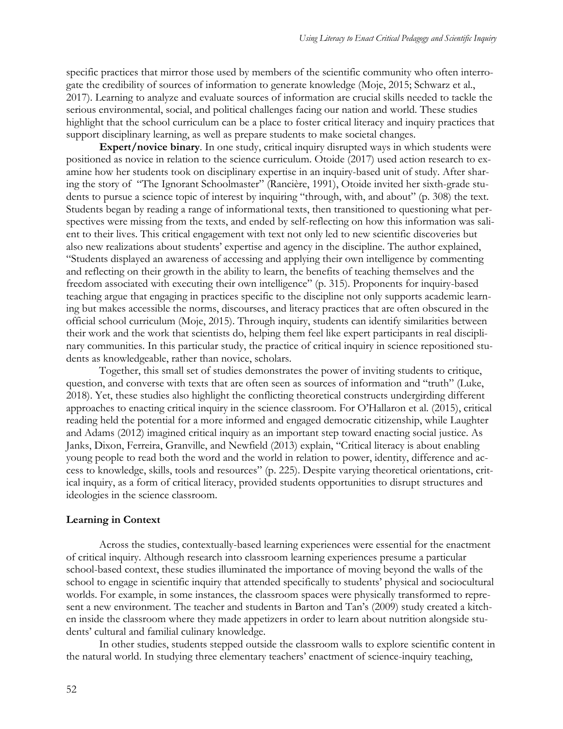specific practices that mirror those used by members of the scientific community who often interrogate the credibility of sources of information to generate knowledge (Moje, 2015; Schwarz et al., 2017). Learning to analyze and evaluate sources of information are crucial skills needed to tackle the serious environmental, social, and political challenges facing our nation and world. These studies highlight that the school curriculum can be a place to foster critical literacy and inquiry practices that support disciplinary learning, as well as prepare students to make societal changes.

**Expert/novice binary**. In one study, critical inquiry disrupted ways in which students were positioned as novice in relation to the science curriculum. Otoide (2017) used action research to examine how her students took on disciplinary expertise in an inquiry-based unit of study. After sharing the story of "The Ignorant Schoolmaster" (Rancière, 1991), Otoide invited her sixth-grade students to pursue a science topic of interest by inquiring "through, with, and about" (p. 308) the text. Students began by reading a range of informational texts, then transitioned to questioning what perspectives were missing from the texts, and ended by self-reflecting on how this information was salient to their lives. This critical engagement with text not only led to new scientific discoveries but also new realizations about students' expertise and agency in the discipline. The author explained, "Students displayed an awareness of accessing and applying their own intelligence by commenting and reflecting on their growth in the ability to learn, the benefits of teaching themselves and the freedom associated with executing their own intelligence" (p. 315). Proponents for inquiry-based teaching argue that engaging in practices specific to the discipline not only supports academic learning but makes accessible the norms, discourses, and literacy practices that are often obscured in the official school curriculum (Moje, 2015). Through inquiry, students can identify similarities between their work and the work that scientists do, helping them feel like expert participants in real disciplinary communities. In this particular study, the practice of critical inquiry in science repositioned students as knowledgeable, rather than novice, scholars.

Together, this small set of studies demonstrates the power of inviting students to critique, question, and converse with texts that are often seen as sources of information and "truth" (Luke, 2018). Yet, these studies also highlight the conflicting theoretical constructs undergirding different approaches to enacting critical inquiry in the science classroom. For O'Hallaron et al. (2015), critical reading held the potential for a more informed and engaged democratic citizenship, while Laughter and Adams (2012) imagined critical inquiry as an important step toward enacting social justice. As Janks, Dixon, Ferreira, Granville, and Newfield (2013) explain, "Critical literacy is about enabling young people to read both the word and the world in relation to power, identity, difference and access to knowledge, skills, tools and resources" (p. 225). Despite varying theoretical orientations, critical inquiry, as a form of critical literacy, provided students opportunities to disrupt structures and ideologies in the science classroom.

#### **Learning in Context**

Across the studies, contextually-based learning experiences were essential for the enactment of critical inquiry. Although research into classroom learning experiences presume a particular school-based context, these studies illuminated the importance of moving beyond the walls of the school to engage in scientific inquiry that attended specifically to students' physical and sociocultural worlds. For example, in some instances, the classroom spaces were physically transformed to represent a new environment. The teacher and students in Barton and Tan's (2009) study created a kitchen inside the classroom where they made appetizers in order to learn about nutrition alongside students' cultural and familial culinary knowledge.

In other studies, students stepped outside the classroom walls to explore scientific content in the natural world. In studying three elementary teachers' enactment of science-inquiry teaching,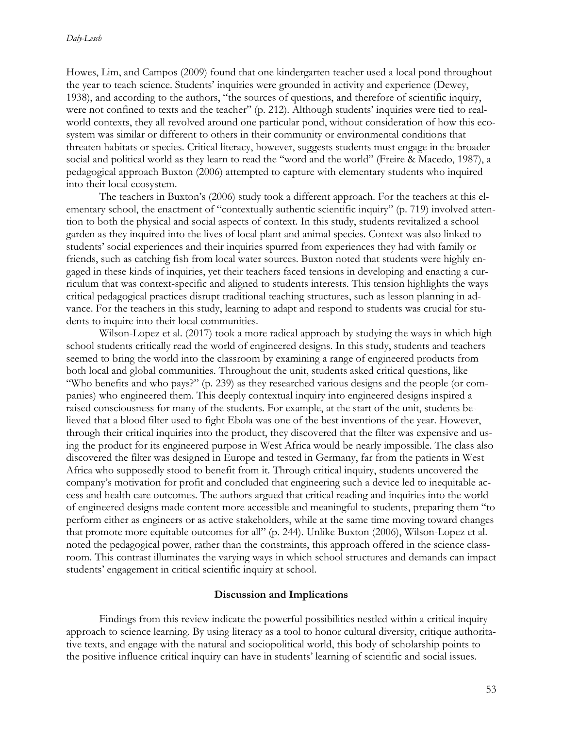Howes, Lim, and Campos (2009) found that one kindergarten teacher used a local pond throughout the year to teach science. Students' inquiries were grounded in activity and experience (Dewey, 1938), and according to the authors, "the sources of questions, and therefore of scientific inquiry, were not confined to texts and the teacher" (p. 212). Although students' inquiries were tied to realworld contexts, they all revolved around one particular pond, without consideration of how this ecosystem was similar or different to others in their community or environmental conditions that threaten habitats or species. Critical literacy, however, suggests students must engage in the broader social and political world as they learn to read the "word and the world" (Freire & Macedo, 1987), a pedagogical approach Buxton (2006) attempted to capture with elementary students who inquired into their local ecosystem.

The teachers in Buxton's (2006) study took a different approach. For the teachers at this elementary school, the enactment of "contextually authentic scientific inquiry" (p. 719) involved attention to both the physical and social aspects of context. In this study, students revitalized a school garden as they inquired into the lives of local plant and animal species. Context was also linked to students' social experiences and their inquiries spurred from experiences they had with family or friends, such as catching fish from local water sources. Buxton noted that students were highly engaged in these kinds of inquiries, yet their teachers faced tensions in developing and enacting a curriculum that was context-specific and aligned to students interests. This tension highlights the ways critical pedagogical practices disrupt traditional teaching structures, such as lesson planning in advance. For the teachers in this study, learning to adapt and respond to students was crucial for students to inquire into their local communities.

Wilson-Lopez et al. (2017) took a more radical approach by studying the ways in which high school students critically read the world of engineered designs. In this study, students and teachers seemed to bring the world into the classroom by examining a range of engineered products from both local and global communities. Throughout the unit, students asked critical questions, like "Who benefits and who pays?" (p. 239) as they researched various designs and the people (or companies) who engineered them. This deeply contextual inquiry into engineered designs inspired a raised consciousness for many of the students. For example, at the start of the unit, students believed that a blood filter used to fight Ebola was one of the best inventions of the year. However, through their critical inquiries into the product, they discovered that the filter was expensive and using the product for its engineered purpose in West Africa would be nearly impossible. The class also discovered the filter was designed in Europe and tested in Germany, far from the patients in West Africa who supposedly stood to benefit from it. Through critical inquiry, students uncovered the company's motivation for profit and concluded that engineering such a device led to inequitable access and health care outcomes. The authors argued that critical reading and inquiries into the world of engineered designs made content more accessible and meaningful to students, preparing them "to perform either as engineers or as active stakeholders, while at the same time moving toward changes that promote more equitable outcomes for all" (p. 244). Unlike Buxton (2006), Wilson-Lopez et al. noted the pedagogical power, rather than the constraints, this approach offered in the science classroom. This contrast illuminates the varying ways in which school structures and demands can impact students' engagement in critical scientific inquiry at school.

#### **Discussion and Implications**

Findings from this review indicate the powerful possibilities nestled within a critical inquiry approach to science learning. By using literacy as a tool to honor cultural diversity, critique authoritative texts, and engage with the natural and sociopolitical world, this body of scholarship points to the positive influence critical inquiry can have in students' learning of scientific and social issues.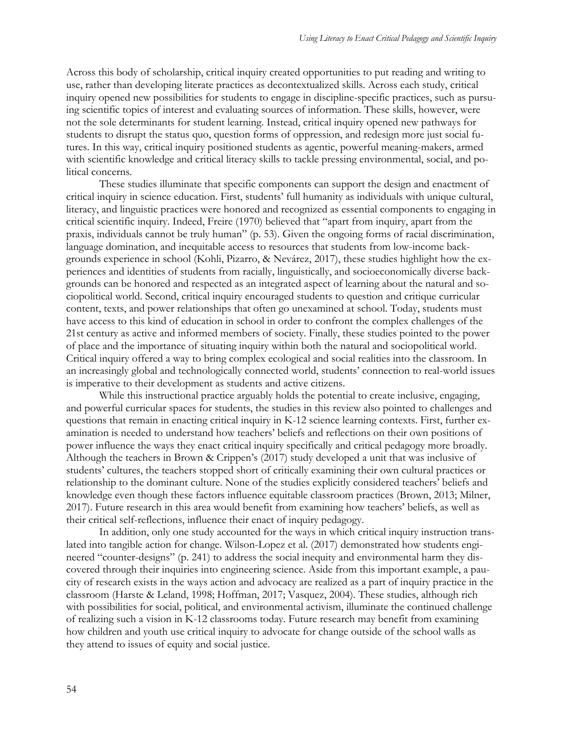Across this body of scholarship, critical inquiry created opportunities to put reading and writing to use, rather than developing literate practices as decontextualized skills. Across each study, critical inquiry opened new possibilities for students to engage in discipline-specific practices, such as pursuing scientific topics of interest and evaluating sources of information. These skills, however, were not the sole determinants for student learning. Instead, critical inquiry opened new pathways for students to disrupt the status quo, question forms of oppression, and redesign more just social futures. In this way, critical inquiry positioned students as agentic, powerful meaning-makers, armed with scientific knowledge and critical literacy skills to tackle pressing environmental, social, and political concerns.

These studies illuminate that specific components can support the design and enactment of critical inquiry in science education. First, students' full humanity as individuals with unique cultural, literacy, and linguistic practices were honored and recognized as essential components to engaging in critical scientific inquiry. Indeed, Freire (1970) believed that "apart from inquiry, apart from the praxis, individuals cannot be truly human" (p. 53). Given the ongoing forms of racial discrimination, language domination, and inequitable access to resources that students from low-income backgrounds experience in school (Kohli, Pizarro, & Nevárez, 2017), these studies highlight how the experiences and identities of students from racially, linguistically, and socioeconomically diverse backgrounds can be honored and respected as an integrated aspect of learning about the natural and sociopolitical world. Second, critical inquiry encouraged students to question and critique curricular content, texts, and power relationships that often go unexamined at school. Today, students must have access to this kind of education in school in order to confront the complex challenges of the 21st century as active and informed members of society. Finally, these studies pointed to the power of place and the importance of situating inquiry within both the natural and sociopolitical world. Critical inquiry offered a way to bring complex ecological and social realities into the classroom. In an increasingly global and technologically connected world, students' connection to real-world issues is imperative to their development as students and active citizens.

While this instructional practice arguably holds the potential to create inclusive, engaging, and powerful curricular spaces for students, the studies in this review also pointed to challenges and questions that remain in enacting critical inquiry in K-12 science learning contexts. First, further examination is needed to understand how teachers' beliefs and reflections on their own positions of power influence the ways they enact critical inquiry specifically and critical pedagogy more broadly. Although the teachers in Brown & Crippen's (2017) study developed a unit that was inclusive of students' cultures, the teachers stopped short of critically examining their own cultural practices or relationship to the dominant culture. None of the studies explicitly considered teachers' beliefs and knowledge even though these factors influence equitable classroom practices (Brown, 2013; Milner, 2017). Future research in this area would benefit from examining how teachers' beliefs, as well as their critical self-reflections, influence their enact of inquiry pedagogy.

In addition, only one study accounted for the ways in which critical inquiry instruction translated into tangible action for change. Wilson-Lopez et al. (2017) demonstrated how students engineered "counter-designs" (p. 241) to address the social inequity and environmental harm they discovered through their inquiries into engineering science. Aside from this important example, a paucity of research exists in the ways action and advocacy are realized as a part of inquiry practice in the classroom (Harste & Leland, 1998; Hoffman, 2017; Vasquez, 2004). These studies, although rich with possibilities for social, political, and environmental activism, illuminate the continued challenge of realizing such a vision in K-12 classrooms today. Future research may benefit from examining how children and youth use critical inquiry to advocate for change outside of the school walls as they attend to issues of equity and social justice.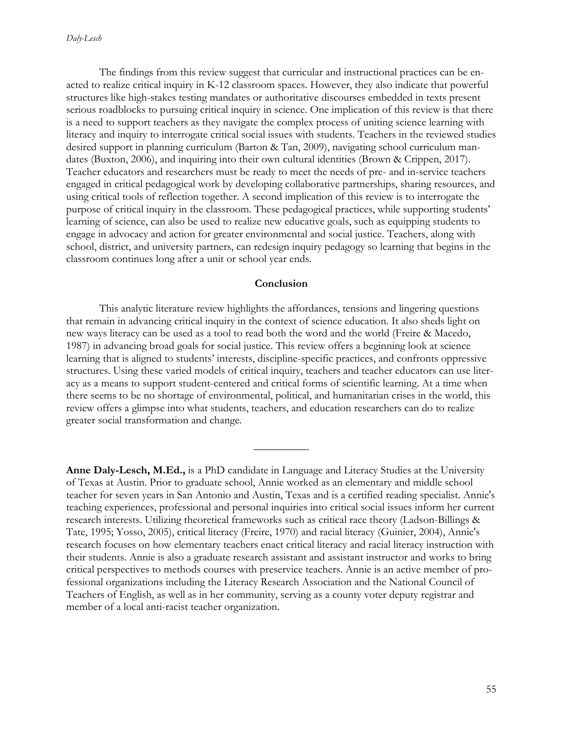The findings from this review suggest that curricular and instructional practices can be enacted to realize critical inquiry in K-12 classroom spaces. However, they also indicate that powerful structures like high-stakes testing mandates or authoritative discourses embedded in texts present serious roadblocks to pursuing critical inquiry in science. One implication of this review is that there is a need to support teachers as they navigate the complex process of uniting science learning with literacy and inquiry to interrogate critical social issues with students. Teachers in the reviewed studies desired support in planning curriculum (Barton & Tan, 2009), navigating school curriculum mandates (Buxton, 2006), and inquiring into their own cultural identities (Brown & Crippen, 2017). Teacher educators and researchers must be ready to meet the needs of pre- and in-service teachers engaged in critical pedagogical work by developing collaborative partnerships, sharing resources, and using critical tools of reflection together. A second implication of this review is to interrogate the purpose of critical inquiry in the classroom. These pedagogical practices, while supporting students' learning of science, can also be used to realize new educative goals, such as equipping students to engage in advocacy and action for greater environmental and social justice. Teachers, along with school, district, and university partners, can redesign inquiry pedagogy so learning that begins in the classroom continues long after a unit or school year ends.

## **Conclusion**

This analytic literature review highlights the affordances, tensions and lingering questions that remain in advancing critical inquiry in the context of science education. It also sheds light on new ways literacy can be used as a tool to read both the word and the world (Freire & Macedo, 1987) in advancing broad goals for social justice. This review offers a beginning look at science learning that is aligned to students' interests, discipline-specific practices, and confronts oppressive structures. Using these varied models of critical inquiry, teachers and teacher educators can use literacy as a means to support student-centered and critical forms of scientific learning. At a time when there seems to be no shortage of environmental, political, and humanitarian crises in the world, this review offers a glimpse into what students, teachers, and education researchers can do to realize greater social transformation and change.

 $\overline{\phantom{a}}$ 

**Anne Daly-Lesch, M.Ed.,** is a PhD candidate in Language and Literacy Studies at the University of Texas at Austin. Prior to graduate school, Annie worked as an elementary and middle school teacher for seven years in San Antonio and Austin, Texas and is a certified reading specialist. Annie's teaching experiences, professional and personal inquiries into critical social issues inform her current research interests. Utilizing theoretical frameworks such as critical race theory (Ladson-Billings & Tate, 1995; Yosso, 2005), critical literacy (Freire, 1970) and racial literacy (Guinier, 2004), Annie's research focuses on how elementary teachers enact critical literacy and racial literacy instruction with their students. Annie is also a graduate research assistant and assistant instructor and works to bring critical perspectives to methods courses with preservice teachers. Annie is an active member of professional organizations including the Literacy Research Association and the National Council of Teachers of English, as well as in her community, serving as a county voter deputy registrar and member of a local anti-racist teacher organization.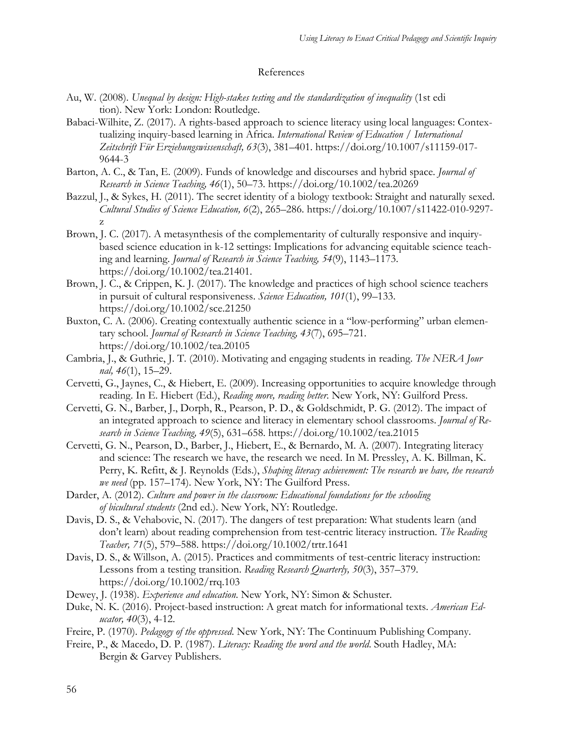## References

- Au, W. (2008). *Unequal by design: High-stakes testing and the standardization of inequality* (1st edi tion). New York: London: Routledge.
- Babaci-Wilhite, Z. (2017). A rights-based approach to science literacy using local languages: Contextualizing inquiry-based learning in Africa. *International Review of Education / International Zeitschrift Für Erziehungswissenschaft, 63*(3), 381–401. https://doi.org/10.1007/s11159-017- 9644-3
- Barton, A. C., & Tan, E. (2009). Funds of knowledge and discourses and hybrid space. *Journal of Research in Science Teaching, 46*(1), 50–73. https://doi.org/10.1002/tea.20269
- Bazzul, J., & Sykes, H. (2011). The secret identity of a biology textbook: Straight and naturally sexed. *Cultural Studies of Science Education, 6*(2), 265–286. https://doi.org/10.1007/s11422-010-9297 z.
- Brown, J. C. (2017). A metasynthesis of the complementarity of culturally responsive and inquirybased science education in k-12 settings: Implications for advancing equitable science teaching and learning. *Journal of Research in Science Teaching, 54*(9), 1143–1173. https://doi.org/10.1002/tea.21401.
- Brown, J. C., & Crippen, K. J. (2017). The knowledge and practices of high school science teachers in pursuit of cultural responsiveness. *Science Education, 101*(1), 99–133. https://doi.org/10.1002/sce.21250
- Buxton, C. A. (2006). Creating contextually authentic science in a "low-performing" urban elementary school. *Journal of Research in Science Teaching, 43*(7), 695–721. https://doi.org/10.1002/tea.20105
- Cambria, J., & Guthrie, J. T. (2010). Motivating and engaging students in reading. *The NERA Jour nal, 46*(1), 15–29.
- Cervetti, G., Jaynes, C., & Hiebert, E. (2009). Increasing opportunities to acquire knowledge through reading. In E. Hiebert (Ed.), *Reading more, reading better*. New York, NY: Guilford Press.
- Cervetti, G. N., Barber, J., Dorph, R., Pearson, P. D., & Goldschmidt, P. G. (2012). The impact of an integrated approach to science and literacy in elementary school classrooms. *Journal of Research in Science Teaching, 49*(5), 631–658. https://doi.org/10.1002/tea.21015
- Cervetti, G. N., Pearson, D., Barber, J., Hiebert, E., & Bernardo, M. A. (2007). Integrating literacy and science: The research we have, the research we need. In M. Pressley, A. K. Billman, K. Perry, K. Refitt, & J. Reynolds (Eds.), *Shaping literacy achievement: The research we have, the research we need* (pp. 157–174). New York, NY: The Guilford Press.
- Darder, A. (2012). *Culture and power in the classroom: Educational foundations for the schooling of bicultural students* (2nd ed.). New York, NY: Routledge.
- Davis, D. S., & Vehabovic, N. (2017). The dangers of test preparation: What students learn (and don't learn) about reading comprehension from test-centric literacy instruction. *The Reading Teacher, 71*(5), 579–588. https://doi.org/10.1002/trtr.1641
- Davis, D. S., & Willson, A. (2015). Practices and commitments of test-centric literacy instruction: Lessons from a testing transition. *Reading Research Quarterly, 50*(3), 357–379. https://doi.org/10.1002/rrq.103
- Dewey, J. (1938). *Experience and education*. New York, NY: Simon & Schuster.
- Duke, N. K. (2016). Project-based instruction: A great match for informational texts. *American Educator, 40*(3), 4-12.
- Freire, P. (1970). *Pedagogy of the oppressed*. New York, NY: The Continuum Publishing Company.
- Freire, P., & Macedo, D. P. (1987). *Literacy: Reading the word and the world*. South Hadley, MA: Bergin & Garvey Publishers.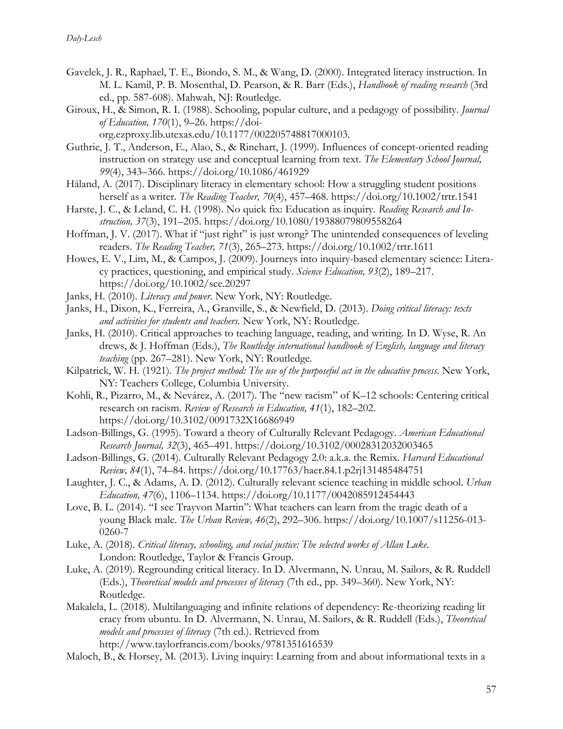- Gavelek, J. R., Raphael, T. E., Biondo, S. M., & Wang, D. (2000). Integrated literacy instruction. In M. L. Kamil, P. B. Mosenthal, D. Pearson, & R. Barr (Eds.), *Handbook of reading research* (3rd ed., pp. 587-608). Mahwah, NJ: Routledge.
- Giroux, H., & Simon, R. I. (1988). Schooling, popular culture, and a pedagogy of possibility. *Journal of Education, 170*(1), 9–26. https://doiorg.ezproxy.lib.utexas.edu/10.1177/002205748817000103.
- Guthrie, J. T., Anderson, E., Alao, S., & Rinehart, J. (1999). Influences of concept-oriented reading instruction on strategy use and conceptual learning from text. *The Elementary School Journal, 99*(4), 343–366. https://doi.org/10.1086/461929
- Håland, A. (2017). Disciplinary literacy in elementary school: How a struggling student positions herself as a writer. *The Reading Teacher, 70*(4), 457–468. https://doi.org/10.1002/trtr.1541
- Harste, J. C., & Leland, C. H. (1998). No quick fix: Education as inquiry. *Reading Research and Instruction, 37*(3), 191–205. https://doi.org/10.1080/19388079809558264
- Hoffman, J. V. (2017). What if "just right" is just wrong? The unintended consequences of leveling readers. *The Reading Teacher, 71*(3), 265–273. https://doi.org/10.1002/trtr.1611
- Howes, E. V., Lim, M., & Campos, J. (2009). Journeys into inquiry-based elementary science: Literacy practices, questioning, and empirical study. *Science Education, 93*(2), 189–217. https://doi.org/10.1002/sce.20297
- Janks, H. (2010). *Literacy and power*. New York, NY: Routledge.
- Janks, H., Dixon, K., Ferreira, A., Granville, S., & Newfield, D. (2013). *Doing critical literacy: texts and activities for students and teachers*. New York, NY: Routledge.
- Janks, H. (2010). Critical approaches to teaching language, reading, and writing. In D. Wyse, R. An drews, & J. Hoffman (Eds.), *The Routledge international handbook of English, language and literacy teaching* (pp. 267–281). New York, NY: Routledge.
- Kilpatrick, W. H. (1921). *The project method: The use of the purposeful act in the educative process*. New York, NY: Teachers College, Columbia University.
- Kohli, R., Pizarro, M., & Nevárez, A. (2017). The "new racism" of K–12 schools: Centering critical research on racism. *Review of Research in Education, 41*(1), 182–202. https://doi.org/10.3102/0091732X16686949
- Ladson-Billings, G. (1995). Toward a theory of Culturally Relevant Pedagogy. *American Educational Research Journal, 32*(3), 465–491. https://doi.org/10.3102/00028312032003465
- Ladson-Billings, G. (2014). Culturally Relevant Pedagogy 2.0: a.k.a. the Remix. *Harvard Educational Review, 84*(1), 74–84. https://doi.org/10.17763/haer.84.1.p2rj131485484751
- Laughter, J. C., & Adams, A. D. (2012). Culturally relevant science teaching in middle school. *Urban Education, 47*(6), 1106–1134. https://doi.org/10.1177/0042085912454443
- Love, B. L. (2014). "I see Trayvon Martin": What teachers can learn from the tragic death of a young Black male. *The Urban Review, 46*(2), 292–306. https://doi.org/10.1007/s11256-013- 0260-7
- Luke, A. (2018). *Critical literacy, schooling, and social justice: The selected works of Allan Luke*. London: Routledge, Taylor & Francis Group.
- Luke, A. (2019). Regrounding critical literacy. In D. Alvermann, N. Unrau, M. Sailors, & R. Ruddell (Eds.), *Theoretical models and processes of literacy* (7th ed., pp. 349–360). New York, NY: Routledge.
- Makalela, L. (2018). Multilanguaging and infinite relations of dependency: Re-theorizing reading lit eracy from ubuntu. In D. Alvermann, N. Unrau, M. Sailors, & R. Ruddell (Eds.), *Theoretical models and processes of literacy* (7th ed.). Retrieved from http://www.taylorfrancis.com/books/9781351616539
- Maloch, B., & Horsey, M. (2013). Living inquiry: Learning from and about informational texts in a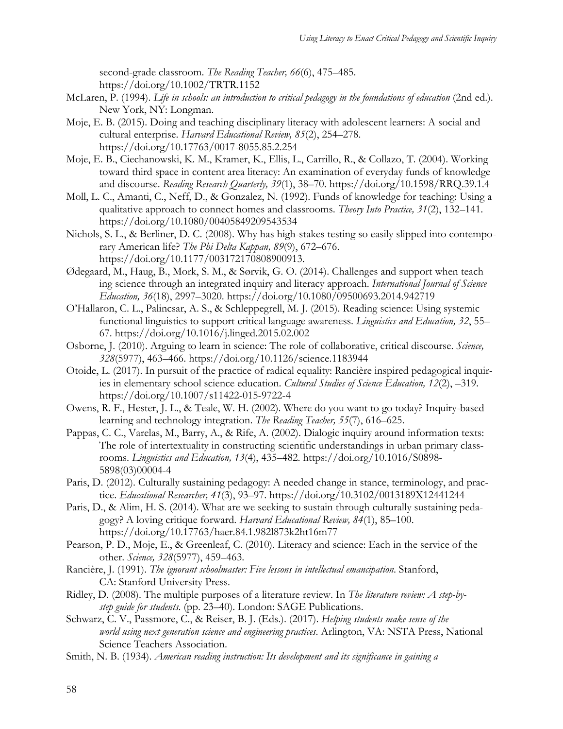second-grade classroom. *The Reading Teacher, 66*(6), 475–485. https://doi.org/10.1002/TRTR.1152

- McLaren, P. (1994). *Life in schools: an introduction to critical pedagogy in the foundations of education* (2nd ed.). New York, NY: Longman.
- Moje, E. B. (2015). Doing and teaching disciplinary literacy with adolescent learners: A social and cultural enterprise. *Harvard Educational Review, 85*(2), 254–278. https://doi.org/10.17763/0017-8055.85.2.254
- Moje, E. B., Ciechanowski, K. M., Kramer, K., Ellis, L., Carrillo, R., & Collazo, T. (2004). Working toward third space in content area literacy: An examination of everyday funds of knowledge and discourse. *Reading Research Quarterly, 39*(1), 38–70. https://doi.org/10.1598/RRQ.39.1.4
- Moll, L. C., Amanti, C., Neff, D., & Gonzalez, N. (1992). Funds of knowledge for teaching: Using a qualitative approach to connect homes and classrooms. *Theory Into Practice, 31*(2), 132–141. https://doi.org/10.1080/00405849209543534
- Nichols, S. L., & Berliner, D. C. (2008). Why has high-stakes testing so easily slipped into contemporary American life? *The Phi Delta Kappan, 89*(9), 672–676. https://doi.org/10.1177/003172170808900913.
- Ødegaard, M., Haug, B., Mork, S. M., & Sørvik, G. O. (2014). Challenges and support when teach ing science through an integrated inquiry and literacy approach. *International Journal of Science Education, 36*(18), 2997–3020. https://doi.org/10.1080/09500693.2014.942719
- O'Hallaron, C. L., Palincsar, A. S., & Schleppegrell, M. J. (2015). Reading science: Using systemic functional linguistics to support critical language awareness. *Linguistics and Education, 32*, 55– 67. https://doi.org/10.1016/j.linged.2015.02.002
- Osborne, J. (2010). Arguing to learn in science: The role of collaborative, critical discourse. *Science, 328*(5977), 463–466. https://doi.org/10.1126/science.1183944
- Otoide, L. (2017). In pursuit of the practice of radical equality: Rancière inspired pedagogical inquiries in elementary school science education. *Cultural Studies of Science Education, 12*(2), –319. https://doi.org/10.1007/s11422-015-9722-4
- Owens, R. F., Hester, J. L., & Teale, W. H. (2002). Where do you want to go today? Inquiry-based learning and technology integration. *The Reading Teacher, 55*(7), 616–625.
- Pappas, C. C., Varelas, M., Barry, A., & Rife, A. (2002). Dialogic inquiry around information texts: The role of intertextuality in constructing scientific understandings in urban primary classrooms. *Linguistics and Education, 13*(4), 435–482. https://doi.org/10.1016/S0898- 5898(03)00004-4
- Paris, D. (2012). Culturally sustaining pedagogy: A needed change in stance, terminology, and practice. *Educational Researcher, 41*(3), 93–97. https://doi.org/10.3102/0013189X12441244
- Paris, D., & Alim, H. S. (2014). What are we seeking to sustain through culturally sustaining pedagogy? A loving critique forward. *Harvard Educational Review, 84*(1), 85–100. https://doi.org/10.17763/haer.84.1.982l873k2ht16m77
- Pearson, P. D., Moje, E., & Greenleaf, C. (2010). Literacy and science: Each in the service of the other. *Science, 328*(5977), 459–463.
- Rancière, J. (1991). *The ignorant schoolmaster: Five lessons in intellectual emancipation*. Stanford, CA: Stanford University Press.
- Ridley, D. (2008). The multiple purposes of a literature review. In *The literature review: A step-bystep guide for students*. (pp. 23–40). London: SAGE Publications.
- Schwarz, C. V., Passmore, C., & Reiser, B. J. (Eds.). (2017). *Helping students make sense of the world using next generation science and engineering practices*. Arlington, VA: NSTA Press, National Science Teachers Association.
- Smith, N. B. (1934). *American reading instruction: Its development and its significance in gaining a*